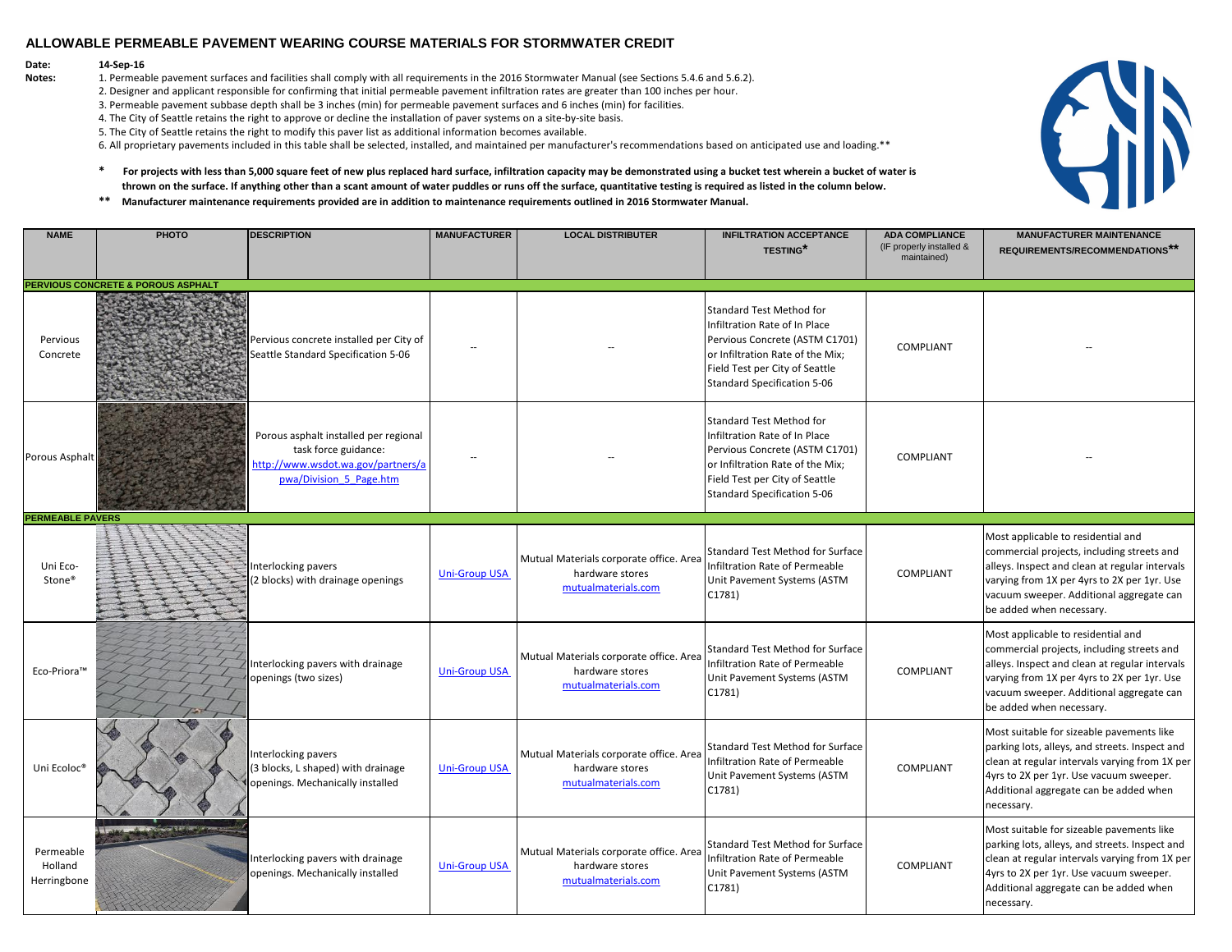#### **Date: 14-Sep-16**

- 2. Designer and applicant responsible for confirming that initial permeable pavement infiltration rates are greater than 100 inches per hour.
- 3. Permeable pavement subbase depth shall be 3 inches (min) for permeable pavement surfaces and 6 inches (min) for facilities.
- 4. The City of Seattle retains the right to approve or decline the installation of paver systems on a site-by-site basis.
- 5. The City of Seattle retains the right to modify this paver list as additional information becomes available.
- 6. All proprietary pavements included in this table shall be selected, installed, and maintained per manufacturer's recommendations based on anticipated use and loading.\*\*
- **\* For projects with less than 5,000 square feet of new plus replaced hard surface, infiltration capacity may be demonstrated using a bucket test wherein a bucket of water is thrown on the surface. If anything other than a scant amount of water puddles or runs off the surface, quantitative testing is required as listed in the column below.**
- **\*\* Manufacturer maintenance requirements provided are in addition to maintenance requirements outlined in 2016 Stormwater Manual.**



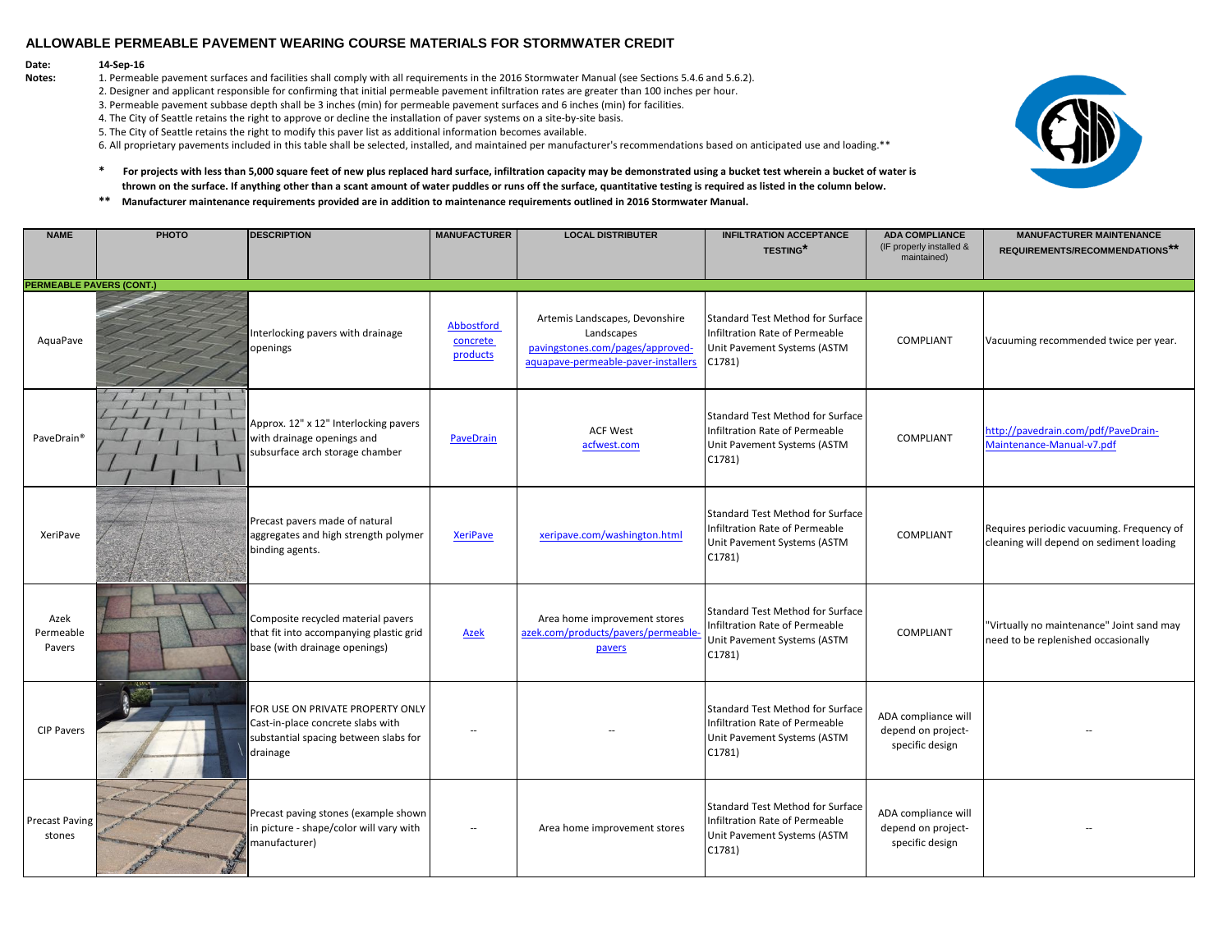# **Date: 14-Sep-16**<br>**Notes: 1. Permeat**

- 2. Designer and applicant responsible for confirming that initial permeable pavement infiltration rates are greater than 100 inches per hour.
- 3. Permeable pavement subbase depth shall be 3 inches (min) for permeable pavement surfaces and 6 inches (min) for facilities.
- 4. The City of Seattle retains the right to approve or decline the installation of paver systems on a site-by-site basis.
- 5. The City of Seattle retains the right to modify this paver list as additional information becomes available.
- 6. All proprietary pavements included in this table shall be selected, installed, and maintained per manufacturer's recommendations based on anticipated use and loading.\*\*
- **\* For projects with less than 5,000 square feet of new plus replaced hard surface, infiltration capacity may be demonstrated using a bucket test wherein a bucket of water is thrown on the surface. If anything other than a scant amount of water puddles or runs off the surface, quantitative testing is required as listed in the column below.**
- **\*\* Manufacturer maintenance requirements provided are in addition to maintenance requirements outlined in 2016 Stormwater Manual.**

| <b>NAME</b>                     | PHOTO | <b>DESCRIPTION</b>                                                                                                         | <b>MANUFACTURER</b>                | <b>LOCAL DISTRIBUTER</b>                                                                                                | <b>INFILTRATION ACCEPTANCE</b><br><b>TESTING*</b>                                                                  | <b>ADA COMPLIANCE</b><br>(IF properly installed &<br>maintained) | <b>MANUFACTURER MAINTENANCE</b><br>REQUIREMENTS/RECOMMENDATIONS**                     |
|---------------------------------|-------|----------------------------------------------------------------------------------------------------------------------------|------------------------------------|-------------------------------------------------------------------------------------------------------------------------|--------------------------------------------------------------------------------------------------------------------|------------------------------------------------------------------|---------------------------------------------------------------------------------------|
| <b>PERMEABLE PAVERS (CONT.)</b> |       |                                                                                                                            |                                    |                                                                                                                         |                                                                                                                    |                                                                  |                                                                                       |
| AquaPave                        |       | Interlocking pavers with drainage<br>openings                                                                              | Abbostford<br>concrete<br>products | Artemis Landscapes, Devonshire<br>Landscapes<br>pavingstones.com/pages/approved-<br>aquapave-permeable-paver-installers | Standard Test Method for Surface<br>Infiltration Rate of Permeable<br>Unit Pavement Systems (ASTM<br>C1781)        | COMPLIANT                                                        | Vacuuming recommended twice per year.                                                 |
| PaveDrain <sup>®</sup>          |       | Approx. 12" x 12" Interlocking pavers<br>with drainage openings and<br>subsurface arch storage chamber                     | <b>PaveDrain</b>                   | <b>ACF West</b><br>acfwest.com                                                                                          | <b>Standard Test Method for Surface</b><br>Infiltration Rate of Permeable<br>Unit Pavement Systems (ASTM<br>C1781) | <b>COMPLIANT</b>                                                 | http://pavedrain.com/pdf/PaveDrain-<br>Maintenance-Manual-v7.pdf                      |
| XeriPave                        |       | Precast pavers made of natural<br>aggregates and high strength polymer<br>binding agents.                                  | <b>XeriPave</b>                    | xeripave.com/washington.html                                                                                            | <b>Standard Test Method for Surface</b><br>Infiltration Rate of Permeable<br>Unit Pavement Systems (ASTM<br>C1781) | <b>COMPLIANT</b>                                                 | Requires periodic vacuuming. Frequency of<br>cleaning will depend on sediment loading |
| Azek<br>Permeable<br>Pavers     |       | Composite recycled material pavers<br>that fit into accompanying plastic grid<br>base (with drainage openings)             | <b>Azek</b>                        | Area home improvement stores<br>azek.com/products/pavers/permeable-<br>pavers                                           | Standard Test Method for Surface<br>Infiltration Rate of Permeable<br>Unit Pavement Systems (ASTM<br>C1781)        | <b>COMPLIANT</b>                                                 | "Virtually no maintenance" Joint sand may<br>need to be replenished occasionally      |
| <b>CIP Pavers</b>               |       | FOR USE ON PRIVATE PROPERTY ONLY<br>Cast-in-place concrete slabs with<br>substantial spacing between slabs for<br>drainage |                                    |                                                                                                                         | Standard Test Method for Surface<br>Infiltration Rate of Permeable<br>Unit Pavement Systems (ASTM<br>C1781)        | ADA compliance will<br>depend on project-<br>specific design     |                                                                                       |
| <b>Precast Paving</b><br>stones |       | Precast paving stones (example shown<br>in picture - shape/color will vary with<br>manufacturer)                           | $\overline{\phantom{a}}$           | Area home improvement stores                                                                                            | Standard Test Method for Surface<br>Infiltration Rate of Permeable<br>Unit Pavement Systems (ASTM<br>C1781)        | ADA compliance will<br>depend on project-<br>specific design     |                                                                                       |

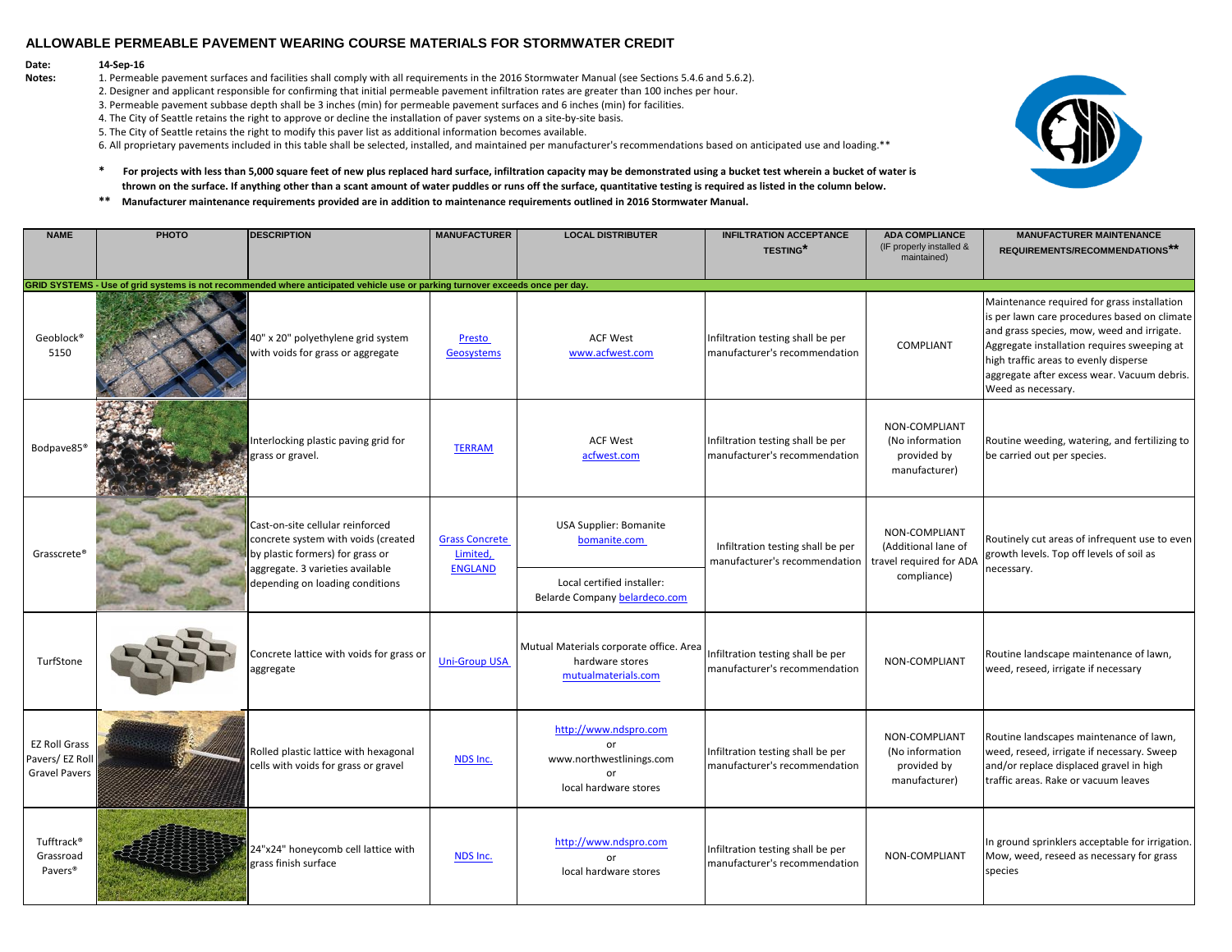# **Date: 14-Sep-16**<br>**Notes: 1. Permeat**

- 2. Designer and applicant responsible for confirming that initial permeable pavement infiltration rates are greater than 100 inches per hour.
- 3. Permeable pavement subbase depth shall be 3 inches (min) for permeable pavement surfaces and 6 inches (min) for facilities.
- 4. The City of Seattle retains the right to approve or decline the installation of paver systems on a site-by-site basis.
- 5. The City of Seattle retains the right to modify this paver list as additional information becomes available.
- 6. All proprietary pavements included in this table shall be selected, installed, and maintained per manufacturer's recommendations based on anticipated use and loading.\*\*
- **\* For projects with less than 5,000 square feet of new plus replaced hard surface, infiltration capacity may be demonstrated using a bucket test wherein a bucket of water is thrown on the surface. If anything other than a scant amount of water puddles or runs off the surface, quantitative testing is required as listed in the column below.**
- **\*\* Manufacturer maintenance requirements provided are in addition to maintenance requirements outlined in 2016 Stormwater Manual.**

| <b>NAME</b>                                                    | PHOTO | <b>DESCRIPTION</b>                                                                                                                                                                 | <b>MANUFACTURER</b>                                 | <b>LOCAL DISTRIBUTER</b>                                                                                     | <b>INFILTRATION ACCEPTANCE</b><br><b>TESTING*</b>                  | <b>ADA COMPLIANCE</b><br>(IF properly installed &                              | <b>MANUFACTURER MAINTENANCE</b><br>REQUIREMENTS/RECOMMENDATIONS**                                                                                                                                                                                                                                      |
|----------------------------------------------------------------|-------|------------------------------------------------------------------------------------------------------------------------------------------------------------------------------------|-----------------------------------------------------|--------------------------------------------------------------------------------------------------------------|--------------------------------------------------------------------|--------------------------------------------------------------------------------|--------------------------------------------------------------------------------------------------------------------------------------------------------------------------------------------------------------------------------------------------------------------------------------------------------|
|                                                                |       |                                                                                                                                                                                    |                                                     |                                                                                                              |                                                                    | maintained)                                                                    |                                                                                                                                                                                                                                                                                                        |
|                                                                |       | GRID SYSTEMS - Use of grid systems is not recommended where anticipated vehicle use or parking turnover exceeds once per day.                                                      |                                                     |                                                                                                              |                                                                    |                                                                                |                                                                                                                                                                                                                                                                                                        |
| Geoblock®<br>5150                                              |       | 40" x 20" polyethylene grid system<br>with voids for grass or aggregate                                                                                                            | Presto<br><b>Geosystems</b>                         | <b>ACF West</b><br>www.acfwest.com                                                                           | Infiltration testing shall be per<br>manufacturer's recommendation | COMPLIANT                                                                      | Maintenance required for grass installation<br>is per lawn care procedures based on climate<br>and grass species, mow, weed and irrigate.<br>Aggregate installation requires sweeping at<br>high traffic areas to evenly disperse<br>aggregate after excess wear. Vacuum debris.<br>Weed as necessary. |
| Bodpave85 <sup>®</sup>                                         |       | Interlocking plastic paving grid for<br>grass or gravel.                                                                                                                           | <b>TERRAM</b>                                       | <b>ACF West</b><br>acfwest.com                                                                               | Infiltration testing shall be per<br>manufacturer's recommendation | NON-COMPLIANT<br>(No information<br>provided by<br>manufacturer)               | Routine weeding, watering, and fertilizing to<br>be carried out per species.                                                                                                                                                                                                                           |
| Grasscrete®                                                    |       | Cast-on-site cellular reinforced<br>concrete system with voids (created<br>by plastic formers) for grass or<br>aggregate. 3 varieties available<br>depending on loading conditions | <b>Grass Concrete</b><br>Limited,<br><b>ENGLAND</b> | <b>USA Supplier: Bomanite</b><br>bomanite.com<br>Local certified installer:<br>Belarde Company belardeco.com | Infiltration testing shall be per<br>manufacturer's recommendation | NON-COMPLIANT<br>(Additional lane of<br>travel required for ADA<br>compliance) | Routinely cut areas of infrequent use to even<br>growth levels. Top off levels of soil as<br>necessary.                                                                                                                                                                                                |
| TurfStone                                                      |       | Concrete lattice with voids for grass or<br>aggregate                                                                                                                              | <b>Uni-Group USA</b>                                | Mutual Materials corporate office. Area<br>hardware stores<br>mutualmaterials.com                            | Infiltration testing shall be per<br>manufacturer's recommendation | NON-COMPLIANT                                                                  | Routine landscape maintenance of lawn,<br>weed, reseed, irrigate if necessary                                                                                                                                                                                                                          |
| <b>EZ Roll Grass</b><br>Pavers/EZ Roll<br><b>Gravel Pavers</b> |       | Rolled plastic lattice with hexagonal<br>cells with voids for grass or gravel                                                                                                      | NDS Inc.                                            | http://www.ndspro.com<br>or<br>www.northwestlinings.com<br>or<br>local hardware stores                       | Infiltration testing shall be per<br>manufacturer's recommendation | NON-COMPLIANT<br>(No information<br>provided by<br>manufacturer)               | Routine landscapes maintenance of lawn,<br>weed, reseed, irrigate if necessary. Sweep<br>and/or replace displaced gravel in high<br>traffic areas. Rake or vacuum leaves                                                                                                                               |
| Tufftrack®<br>Grassroad<br>Pavers <sup>®</sup>                 |       | 24"x24" honeycomb cell lattice with<br>grass finish surface                                                                                                                        | NDS Inc.                                            | http://www.ndspro.com<br>or<br>local hardware stores                                                         | Infiltration testing shall be per<br>manufacturer's recommendation | NON-COMPLIANT                                                                  | In ground sprinklers acceptable for irrigation.<br>Mow, weed, reseed as necessary for grass<br>species                                                                                                                                                                                                 |